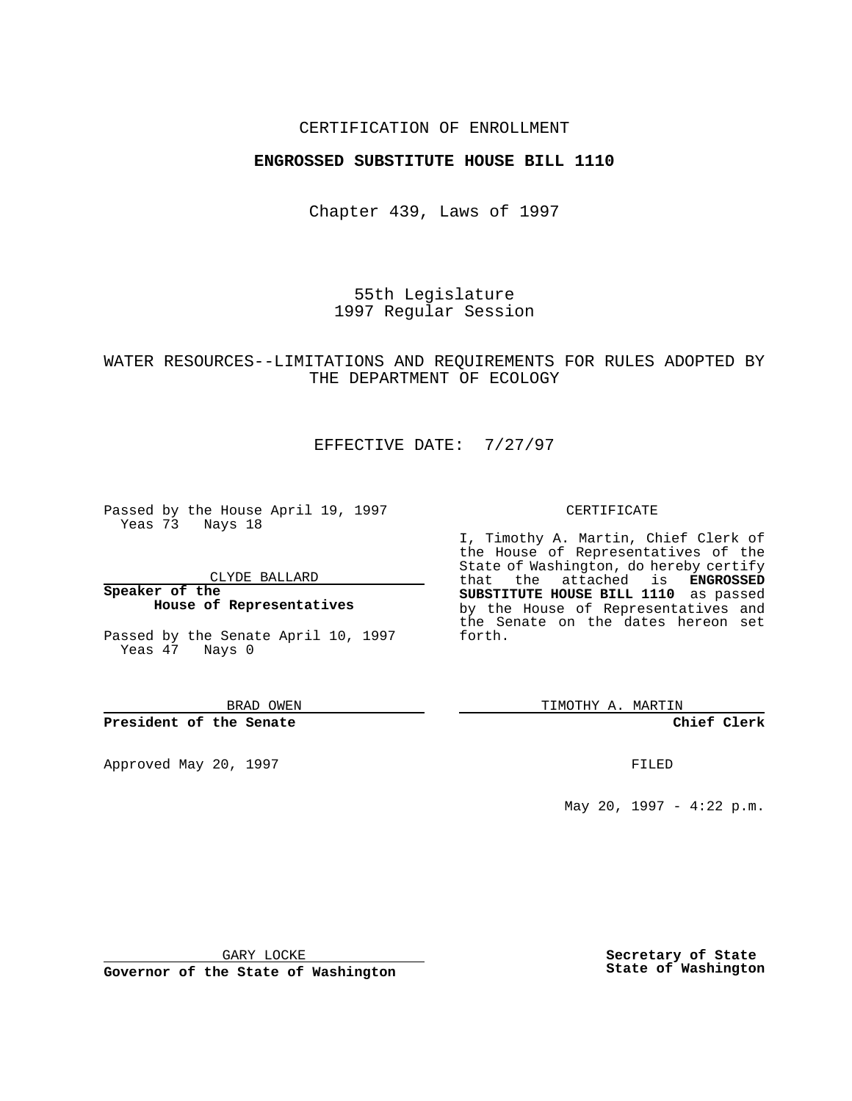### CERTIFICATION OF ENROLLMENT

## **ENGROSSED SUBSTITUTE HOUSE BILL 1110**

Chapter 439, Laws of 1997

55th Legislature 1997 Regular Session

# WATER RESOURCES--LIMITATIONS AND REQUIREMENTS FOR RULES ADOPTED BY THE DEPARTMENT OF ECOLOGY

# EFFECTIVE DATE: 7/27/97

Passed by the House April 19, 1997 Yeas 73 Nays 18

CLYDE BALLARD

**Speaker of the House of Representatives**

Passed by the Senate April 10, 1997 Yeas 47 Nays 0

BRAD OWEN

#### **President of the Senate**

Approved May 20, 1997 **FILED** 

#### CERTIFICATE

I, Timothy A. Martin, Chief Clerk of the House of Representatives of the State of Washington, do hereby certify that the attached is **ENGROSSED SUBSTITUTE HOUSE BILL 1110** as passed by the House of Representatives and the Senate on the dates hereon set forth.

TIMOTHY A. MARTIN

### **Chief Clerk**

May 20, 1997 - 4:22 p.m.

GARY LOCKE

**Governor of the State of Washington**

**Secretary of State State of Washington**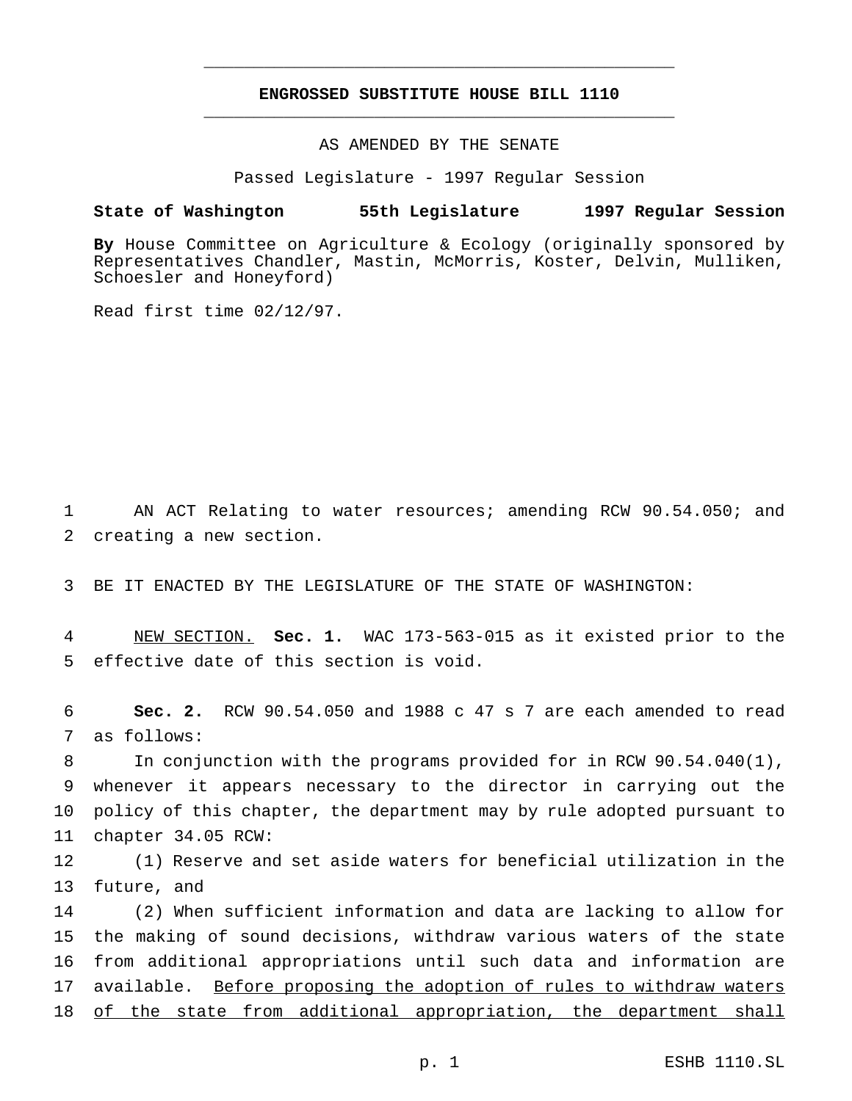# **ENGROSSED SUBSTITUTE HOUSE BILL 1110** \_\_\_\_\_\_\_\_\_\_\_\_\_\_\_\_\_\_\_\_\_\_\_\_\_\_\_\_\_\_\_\_\_\_\_\_\_\_\_\_\_\_\_\_\_\_\_

\_\_\_\_\_\_\_\_\_\_\_\_\_\_\_\_\_\_\_\_\_\_\_\_\_\_\_\_\_\_\_\_\_\_\_\_\_\_\_\_\_\_\_\_\_\_\_

AS AMENDED BY THE SENATE

Passed Legislature - 1997 Regular Session

### **State of Washington 55th Legislature 1997 Regular Session**

**By** House Committee on Agriculture & Ecology (originally sponsored by Representatives Chandler, Mastin, McMorris, Koster, Delvin, Mulliken, Schoesler and Honeyford)

Read first time 02/12/97.

1 AN ACT Relating to water resources; amending RCW 90.54.050; and 2 creating a new section.

3 BE IT ENACTED BY THE LEGISLATURE OF THE STATE OF WASHINGTON:

4 NEW SECTION. **Sec. 1.** WAC 173-563-015 as it existed prior to the 5 effective date of this section is void.

6 **Sec. 2.** RCW 90.54.050 and 1988 c 47 s 7 are each amended to read 7 as follows:

 In conjunction with the programs provided for in RCW 90.54.040(1), whenever it appears necessary to the director in carrying out the policy of this chapter, the department may by rule adopted pursuant to chapter 34.05 RCW:

12 (1) Reserve and set aside waters for beneficial utilization in the 13 future, and

 (2) When sufficient information and data are lacking to allow for the making of sound decisions, withdraw various waters of the state from additional appropriations until such data and information are 17 available. Before proposing the adoption of rules to withdraw waters of the state from additional appropriation, the department shall